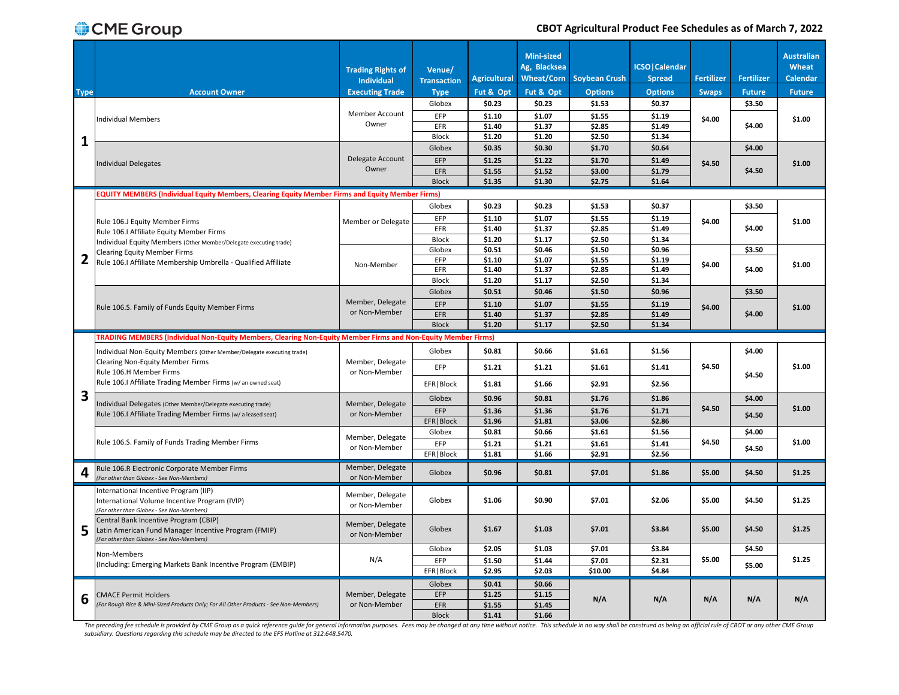|             |                                                                                                                                            | <b>Trading Rights of</b><br><b>Individual</b> | Venue/<br><b>Transaction</b> | <b>Agricultural</b> | <b>Mini-sized</b><br>Ag, Blacksea<br>Wheat/Corn | <b>Soybean Crush</b> | <b>ICSO</b>   Calendar<br><b>Spread</b> | <b>Fertilizer</b> | <b>Fertilizer</b> | <b>Australian</b><br>Wheat<br>Calendar |
|-------------|--------------------------------------------------------------------------------------------------------------------------------------------|-----------------------------------------------|------------------------------|---------------------|-------------------------------------------------|----------------------|-----------------------------------------|-------------------|-------------------|----------------------------------------|
| <b>Type</b> | <b>Account Owner</b>                                                                                                                       | <b>Executing Trade</b>                        | <b>Type</b>                  | Fut & Opt           | Fut & Opt                                       | <b>Options</b>       | <b>Options</b>                          | <b>Swaps</b>      | <b>Future</b>     | <b>Future</b>                          |
|             |                                                                                                                                            |                                               | Globex                       | \$0.23              | \$0.23                                          | \$1.53               | \$0.37                                  |                   | \$3.50            |                                        |
|             | <b>Individual Members</b>                                                                                                                  | Member Account<br>Owner                       | EFP                          | \$1.10              | \$1.07                                          | \$1.55               | \$1.19                                  | \$4.00            |                   | \$1.00                                 |
|             |                                                                                                                                            |                                               | EFR                          | \$1.40              | \$1.37                                          | \$2.85               | \$1.49                                  |                   | \$4.00            |                                        |
| 1           |                                                                                                                                            |                                               | <b>Block</b>                 | \$1.20              | \$1.20                                          | \$2.50               | \$1.34                                  |                   |                   |                                        |
|             |                                                                                                                                            | Delegate Account                              | Globex                       | \$0.35              | \$0.30                                          | \$1.70               | \$0.64                                  |                   | \$4.00            |                                        |
|             | <b>Individual Delegates</b>                                                                                                                | Owner                                         | EFP<br><b>EFR</b>            | \$1.25              | \$1.22                                          | \$1.70<br>\$3.00     | \$1.49<br>\$1.79                        | \$4.50            | \$4.50            | \$1.00                                 |
|             |                                                                                                                                            |                                               | <b>Block</b>                 | \$1.55<br>\$1.35    | \$1.52<br>\$1.30                                | \$2.75               | \$1.64                                  |                   |                   |                                        |
|             |                                                                                                                                            |                                               |                              |                     |                                                 |                      |                                         |                   |                   |                                        |
|             | <b>EQUITY MEMBERS (Individual Equity Members, Clearing Equity Member Firms and Equity Member Firms)</b>                                    |                                               |                              | \$0.23              | \$0.23                                          | \$1.53               | \$0.37                                  |                   |                   |                                        |
|             |                                                                                                                                            |                                               | Globex                       |                     |                                                 |                      |                                         |                   | \$3.50            |                                        |
|             | Rule 106.J Equity Member Firms                                                                                                             | Member or Delegate                            | EFP                          | \$1.10              | \$1.07                                          | \$1.55               | \$1.19                                  | \$4.00            |                   | \$1.00                                 |
|             | Rule 106.I Affiliate Equity Member Firms                                                                                                   |                                               | EFR                          | \$1.40              | \$1.37                                          | \$2.85               | \$1.49                                  |                   | \$4.00            |                                        |
|             | Individual Equity Members (Other Member/Delegate executing trade)                                                                          |                                               | <b>Block</b><br>Globex       | \$1.20<br>\$0.51    | \$1.17<br>\$0.46                                | \$2.50<br>\$1.50     | \$1.34<br>\$0.96                        |                   | \$3.50            |                                        |
|             | <b>Clearing Equity Member Firms</b>                                                                                                        |                                               | EFP                          | \$1.10              | \$1.07                                          | \$1.55               | \$1.19                                  |                   |                   |                                        |
|             | Rule 106.I Affiliate Membership Umbrella - Qualified Affiliate                                                                             | Non-Member                                    | EFR                          | \$1.40              | \$1.37                                          | \$2.85               | \$1.49                                  | \$4.00            | \$4.00            | \$1.00                                 |
|             |                                                                                                                                            |                                               | <b>Block</b>                 | \$1.20              | \$1.17                                          | \$2.50               | \$1.34                                  |                   |                   |                                        |
|             |                                                                                                                                            |                                               | Globex                       | \$0.51              | \$0.46                                          | \$1.50               | \$0.96                                  |                   | \$3.50            |                                        |
|             | Rule 106.S. Family of Funds Equity Member Firms                                                                                            | Member, Delegate                              | <b>EFP</b>                   | \$1.10              | \$1.07                                          | \$1.55               | \$1.19                                  |                   |                   |                                        |
|             |                                                                                                                                            | or Non-Member                                 | EFR                          | \$1.40              | \$1.37                                          | \$2.85               | \$1.49                                  | \$4.00            | \$4.00            | \$1.00                                 |
|             |                                                                                                                                            |                                               | <b>Block</b>                 | \$1.20              | \$1.17                                          | \$2.50               | \$1.34                                  |                   |                   |                                        |
|             | TRADING MEMBERS (Individual Non-Equity Members, Clearing Non-Equity Member Firms and Non-Equity Member Firms)                              |                                               |                              |                     |                                                 |                      |                                         |                   |                   |                                        |
|             | Individual Non-Equity Members (Other Member/Delegate executing trade)                                                                      |                                               | Globex                       | \$0.81              | \$0.66                                          | \$1.61               | \$1.56                                  |                   | \$4.00            |                                        |
|             | Clearing Non-Equity Member Firms                                                                                                           | Member, Delegate<br>or Non-Member             |                              |                     |                                                 |                      |                                         |                   |                   |                                        |
|             | Rule 106.H Member Firms                                                                                                                    |                                               | EFP                          |                     | \$1.21                                          | \$1.61               | \$1.41                                  |                   |                   |                                        |
|             |                                                                                                                                            |                                               |                              | \$1.21              |                                                 |                      |                                         | \$4.50            |                   | \$1.00                                 |
|             | Rule 106.I Affiliate Trading Member Firms (w/ an owned seat)                                                                               |                                               | EFR   Block                  | \$1.81              | \$1.66                                          | \$2.91               | \$2.56                                  |                   | \$4.50            |                                        |
| З           |                                                                                                                                            |                                               | Globex                       | \$0.96              | \$0.81                                          | \$1.76               | \$1.86                                  |                   | \$4.00            |                                        |
|             | Individual Delegates (Other Member/Delegate executing trade)                                                                               | Member, Delegate                              | EFP                          | \$1.36              | \$1.36                                          | \$1.76               | \$1.71                                  | \$4.50            |                   | \$1.00                                 |
|             | Rule 106.I Affiliate Trading Member Firms (w/aleased seat)                                                                                 | or Non-Member                                 | EFR   Block                  | \$1.96              | \$1.81                                          | \$3.06               | \$2.86                                  |                   | \$4.50            |                                        |
|             |                                                                                                                                            |                                               | Globex                       | \$0.81              | \$0.66                                          | \$1.61               | \$1.56                                  |                   | \$4.00            |                                        |
|             | Rule 106.S. Family of Funds Trading Member Firms                                                                                           | Member, Delegate                              | EFP                          | \$1.21              | \$1.21                                          | \$1.61               | \$1.41                                  | \$4.50            |                   | \$1.00                                 |
|             |                                                                                                                                            | or Non-Member                                 | EFR   Block                  | \$1.81              | \$1.66                                          | \$2.91               | \$2.56                                  |                   | \$4.50            |                                        |
|             | Rule 106.R Electronic Corporate Member Firms<br>(For other than Globex - See Non-Members)                                                  | Member, Delegate<br>or Non-Member             | Globex                       | \$0.96              | \$0.81                                          | \$7.01               | \$1.86                                  | \$5.00            | \$4.50            | \$1.25                                 |
|             | International Incentive Program (IIP)<br>International Volume Incentive Program (IVIP)<br>(For other than Globex - See Non-Members)        | Member, Delegate<br>or Non-Member             | Globex                       | \$1.06              | \$0.90                                          | \$7.01               | \$2.06                                  | \$5.00            | \$4.50            | \$1.25                                 |
| 5           | Central Bank Incentive Program (CBIP)<br>Latin American Fund Manager Incentive Program (FMIP)<br>(For other than Globex - See Non-Members) | Member, Delegate<br>or Non-Member             | Globex                       | \$1.67              | \$1.03                                          | \$7.01               | \$3.84                                  | \$5.00            | \$4.50            | \$1.25                                 |
|             |                                                                                                                                            |                                               | Globex                       | \$2.05              | \$1.03                                          | \$7.01               | \$3.84                                  |                   | \$4.50            |                                        |
|             | Non-Members                                                                                                                                | N/A                                           | EFP                          | \$1.50              | \$1.44                                          | \$7.01               | \$2.31                                  | \$5.00            |                   | \$1.25                                 |
|             | (Including: Emerging Markets Bank Incentive Program (EMBIP)                                                                                |                                               | EFR   Block                  | \$2.95              | \$2.03                                          | \$10.00              | \$4.84                                  |                   | \$5.00            |                                        |
|             |                                                                                                                                            |                                               | Globex                       | \$0.41              | \$0.66                                          |                      |                                         |                   |                   |                                        |
|             | <b>CMACE Permit Holders</b>                                                                                                                | Member, Delegate                              | EFP                          | \$1.25              | \$1.15                                          |                      |                                         |                   |                   |                                        |
| 6           | (For Rough Rice & Mini-Sized Products Only; For All Other Products - See Non-Members)                                                      | or Non-Member                                 | EFR<br><b>Block</b>          | \$1.55<br>\$1.41    | \$1.45<br>\$1.66                                | N/A                  | N/A                                     | N/A               | N/A               | N/A                                    |

The preceding fee schedule is provided by CME Group as a quick reference guide for general information purposes. Fees may be changed at any time without notice. This schedule in no way shall be construed as being an offici *subsidiary. Questions regarding this schedule may be directed to the EFS Hotline at 312.648.5470.*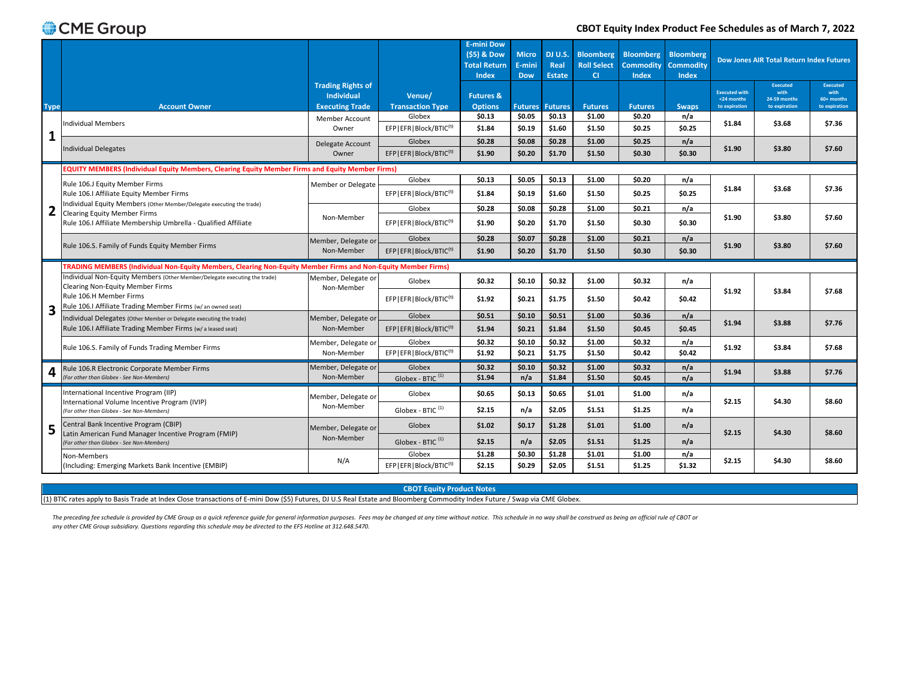#### **CBOT Equity Index Product Fee Schedules as of March 7, 2022**

|             |                                                                                                               |                                                                         |                                       | <b>E-mini Dow</b><br>(\$5) & Dow<br><b>Total Return</b><br><b>Index</b> | <b>Micro</b><br>E-mini<br><b>Dow</b> | DJ U.S.<br>Real<br><b>Estate</b> | <b>Bloomberg</b><br><b>Roll Select</b><br><b>CI</b> | <b>Bloomberg</b><br><b>Commodity</b><br>Index | Bloomberg<br><b>Commodity</b><br>Index |                                                     | <b>Dow Jones AIR Total Return Index Futures</b>          |                                                 |
|-------------|---------------------------------------------------------------------------------------------------------------|-------------------------------------------------------------------------|---------------------------------------|-------------------------------------------------------------------------|--------------------------------------|----------------------------------|-----------------------------------------------------|-----------------------------------------------|----------------------------------------|-----------------------------------------------------|----------------------------------------------------------|-------------------------------------------------|
| <b>Type</b> | <b>Account Owner</b>                                                                                          | <b>Trading Rights of</b><br><b>Individual</b><br><b>Executing Trade</b> | Venue/<br><b>Transaction Type</b>     | <b>Futures &amp;</b><br><b>Options</b>                                  |                                      | <b>Futures Futures</b>           | <b>Futures</b>                                      | <b>Futures</b>                                | <b>Swaps</b>                           | <b>Executed with</b><br><24 months<br>to expiration | <b>Executed</b><br>with<br>24-59 months<br>to expiration | Executed<br>with<br>60+ months<br>to expiration |
|             | Individual Members                                                                                            | Member Account<br>Owner                                                 | Globex<br>EFPIEFRIBlock/BTIC(1)       | \$0.13<br>\$1.84                                                        | \$0.05<br>\$0.19                     | \$0.13<br>\$1.60                 | \$1.00<br>\$1.50                                    | \$0.20<br>\$0.25                              | n/a<br>\$0.25                          | \$1.84                                              | \$3.68                                                   | \$7.36                                          |
| 1           | <b>Individual Delegates</b>                                                                                   | Delegate Account<br>Owner                                               | Globex<br>EFP EFR Block/BTIC(1)       | \$0.28<br>\$1.90                                                        | \$0.08<br>\$0.20                     | \$0.28<br>\$1.70                 | \$1.00<br>\$1.50                                    | \$0.25<br>\$0.30                              | n/a<br>\$0.30                          | \$1.90                                              | \$3.80                                                   | \$7.60                                          |
|             | EQUITY MEMBERS (Individual Equity Members, Clearing Equity Member Firms and Equity Member Firms)              |                                                                         |                                       |                                                                         |                                      |                                  |                                                     |                                               |                                        |                                                     |                                                          |                                                 |
|             | Rule 106.J Equity Member Firms                                                                                | Member or Delegate                                                      | Globex                                | \$0.13                                                                  | \$0.05                               | \$0.13                           | \$1.00                                              | \$0.20                                        | n/a                                    | \$1.84                                              | \$3.68                                                   | \$7.36                                          |
|             | Rule 106.I Affiliate Equity Member Firms                                                                      |                                                                         | EFP   EFR   Block/BTIC(1)             | \$1.84                                                                  | \$0.19                               | \$1.60                           | \$1.50                                              | \$0.25                                        | \$0.25                                 |                                                     |                                                          |                                                 |
| 2           | Individual Equity Members (Other Member/Delegate executing the trade)<br><b>Clearing Equity Member Firms</b>  |                                                                         | Globex                                | \$0.28                                                                  | \$0.08                               | \$0.28                           | \$1.00                                              | \$0.21                                        | n/a                                    |                                                     |                                                          |                                                 |
|             | Rule 106.I Affiliate Membership Umbrella - Qualified Affiliate                                                | Non-Member                                                              | EFP EFR Block/BTIC(1)                 | \$1.90                                                                  | \$0.20                               | \$1.70                           | \$1.50                                              | \$0.30                                        | \$0.30                                 | \$1.90                                              | \$3.80                                                   | \$7.60                                          |
|             | Rule 106.S. Family of Funds Equity Member Firms                                                               | Member, Delegate or                                                     | Globex                                | \$0.28                                                                  | \$0.07                               | \$0.28                           | \$1.00                                              | \$0.21                                        | n/a                                    | \$1.90                                              | \$3.80                                                   | \$7.60                                          |
|             |                                                                                                               | Non-Member                                                              | EFP   EFR   Block/BTIC(1)             | \$1.90                                                                  | \$0.20                               | \$1.70                           | \$1.50                                              | \$0.30                                        | \$0.30                                 |                                                     |                                                          |                                                 |
|             | TRADING MEMBERS (Individual Non-Equity Members, Clearing Non-Equity Member Firms and Non-Equity Member Firms) |                                                                         |                                       |                                                                         |                                      |                                  |                                                     |                                               |                                        |                                                     |                                                          |                                                 |
|             | Individual Non-Equity Members (Other Member/Delegate executing the trade)<br>Clearing Non-Equity Member Firms | Member, Delegate or<br>Non-Member                                       | Globex                                | \$0.32                                                                  | \$0.10                               | \$0.32                           | \$1.00                                              | \$0.32                                        | n/a                                    |                                                     |                                                          |                                                 |
|             | Rule 106.H Member Firms<br>Rule 106.I Affiliate Trading Member Firms (w/ an owned seat)                       |                                                                         | EFP   EFR   Block/BTIC(1)             | \$1.92                                                                  | \$0.21                               | \$1.75                           | \$1.50                                              | \$0.42                                        | \$0.42                                 | \$1.92                                              | \$3.84                                                   | \$7.68                                          |
| 3           | Individual Delegates (Other Member or Delegate executing the trade)                                           | Member, Delegate or                                                     | Globex                                | \$0.51                                                                  | \$0.10                               | \$0.51                           | \$1.00                                              | \$0.36                                        | n/a                                    |                                                     |                                                          |                                                 |
|             | Rule 106.I Affiliate Trading Member Firms (w/aleased seat)                                                    | Non-Member                                                              | EFP   EFR   Block/BTIC(1)             | \$1.94                                                                  | \$0.21                               | \$1.84                           | \$1.50                                              | \$0.45                                        | \$0.45                                 |                                                     | \$1.94<br>\$3.88                                         | \$7.76                                          |
|             | Rule 106.S. Family of Funds Trading Member Firms                                                              | Member, Delegate or                                                     | Globex                                | \$0.32                                                                  | \$0.10                               | \$0.32                           | \$1.00                                              | \$0.32                                        | n/a                                    | \$1.92                                              | \$3.84                                                   | \$7.68                                          |
|             |                                                                                                               | Non-Member                                                              | EFP EFR Block/BTIC(1)                 | \$1.92                                                                  | \$0.21                               | \$1.75                           | \$1.50                                              | \$0.42                                        | \$0.42                                 |                                                     |                                                          |                                                 |
| 4           | Rule 106.R Electronic Corporate Member Firms                                                                  | Member, Delegate or                                                     | Globex                                | \$0.32                                                                  | \$0.10                               | \$0.32                           | \$1.00                                              | \$0.32                                        | n/a                                    | \$1.94                                              | \$3.88                                                   | \$7.76                                          |
|             | (For other than Globex - See Non-Members)                                                                     | Non-Member                                                              | Globex - BTIC <sup>(1)</sup>          | \$1.94                                                                  | n/a                                  | \$1.84                           | \$1.50                                              | \$0.45                                        | n/a                                    |                                                     |                                                          |                                                 |
|             | International Incentive Program (IIP)                                                                         | Member, Delegate or                                                     | Globex                                | \$0.65                                                                  | \$0.13                               | \$0.65                           | \$1.01                                              | \$1.00                                        | n/a                                    | \$2.15                                              | \$4.30                                                   | \$8.60                                          |
|             | International Volume Incentive Program (IVIP)<br>(For other than Globex - See Non-Members)                    | Non-Member                                                              | Globex - BTIC $(1)$                   | \$2.15                                                                  | n/a                                  | \$2.05                           | \$1.51                                              | \$1.25                                        | n/a                                    |                                                     |                                                          |                                                 |
| 5           | Central Bank Incentive Program (CBIP)<br>Latin American Fund Manager Incentive Program (FMIP)                 | Member, Delegate or                                                     | Globex                                | \$1.02                                                                  | \$0.17                               | \$1.28                           | \$1.01                                              | \$1.00                                        | n/a                                    | \$2.15                                              | \$4.30                                                   | \$8.60                                          |
|             | (For other than Globex - See Non-Members)                                                                     | Non-Member                                                              | Globex - BTIC <sup>(1)</sup>          | \$2.15                                                                  | n/a                                  | \$2.05                           | \$1.51                                              | \$1.25                                        | n/a                                    |                                                     |                                                          |                                                 |
|             | Non-Members                                                                                                   | N/A                                                                     | Globex                                | \$1.28                                                                  | \$0.30                               | \$1.28                           | \$1.01                                              | \$1.00                                        | n/a                                    | \$2.15                                              | \$4.30                                                   | \$8.60                                          |
|             | (Including: Emerging Markets Bank Incentive (EMBIP)                                                           |                                                                         | EFP   EFR   Block/BTIC <sup>(1)</sup> | \$2.15                                                                  | \$0.29                               | \$2.05                           | \$1.51                                              | \$1.25                                        | \$1.32                                 |                                                     |                                                          |                                                 |

**CBOT Equity Product Notes**

(1) BTIC rates apply to Basis Trade at Index Close transactions of E-mini Dow (\$5) Futures, DJ U.S Real Estate and Bloomberg Commodity Index Future / Swap via CME Globex.

The preceding fee schedule is provided by CME Group as a quick reference guide for general information purposes. Fees may be changed at any time without notice. This schedule in no way shall be construed as being an offici *any other CME Group subsidiary. Questions regarding this schedule may be directed to the EFS Hotline at 312.648.5470.*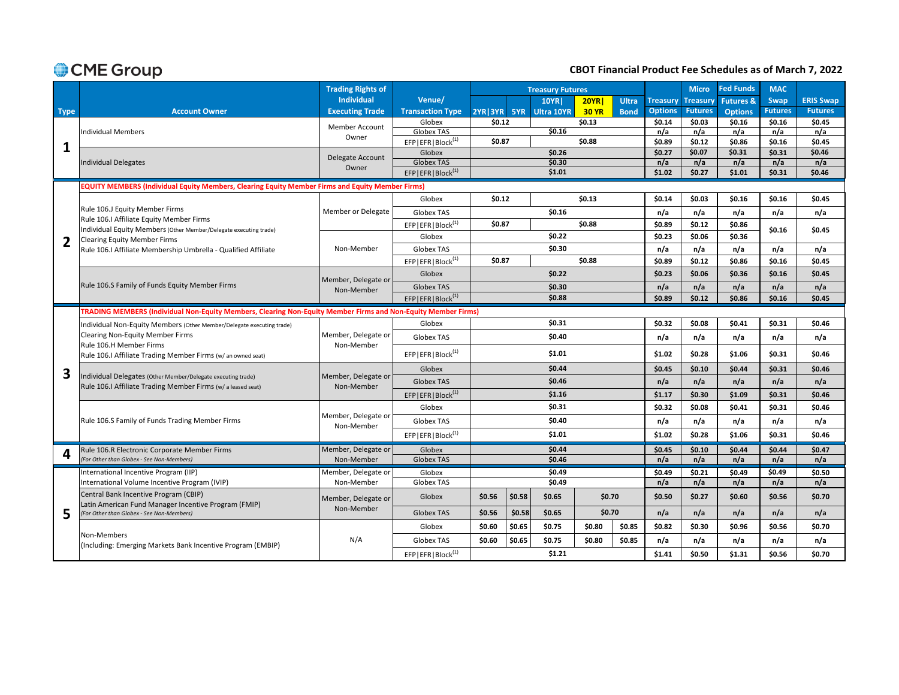## **CBOT Financial Product Fee Schedules as of March 7, 2022**

|             |                                                                                                               | <b>Trading Rights of</b>          |                                                  |             |        | <b>Treasury Futures</b> |              |              |                 | <b>Micro</b>     | <b>Fed Funds</b>     | <b>MAC</b>     |                  |
|-------------|---------------------------------------------------------------------------------------------------------------|-----------------------------------|--------------------------------------------------|-------------|--------|-------------------------|--------------|--------------|-----------------|------------------|----------------------|----------------|------------------|
|             |                                                                                                               | <b>Individual</b>                 | Venue/                                           |             |        | <b>10YR</b>             | <b>20YR</b>  | <b>Ultra</b> | <b>Treasury</b> | <b>Treasury</b>  | <b>Futures &amp;</b> | Swap           | <b>ERIS Swap</b> |
| <b>Type</b> | <b>Account Owner</b>                                                                                          | <b>Executing Trade</b>            | <b>Transaction Type</b>                          | 2YR 3YR 5YR |        | <b>Ultra 10YR</b>       | <b>30 YR</b> | <b>Bond</b>  | <b>Options</b>  | <b>Futures</b>   | <b>Options</b>       | <b>Futures</b> | <b>Futures</b>   |
|             |                                                                                                               | <b>Member Account</b>             | Globex                                           | \$0.12      |        |                         | \$0.13       |              | \$0.14          | \$0.03           | \$0.16               | \$0.16         | \$0.45           |
|             | <b>Individual Members</b>                                                                                     | Owner                             | Globex TAS                                       |             |        | \$0.16                  |              |              | n/a             | n/a              | n/a                  | n/a            | n/a              |
| 1           |                                                                                                               |                                   | EFP EFR Block <sup>(1)</sup>                     | \$0.87      |        |                         | \$0.88       |              | \$0.89          | \$0.12<br>\$0.07 | \$0.86<br>\$0.31     | \$0.16         | \$0.45<br>\$0.46 |
|             | Individual Delegates                                                                                          | Delegate Account                  | Globex<br><b>Globex TAS</b>                      |             |        | \$0.26<br>\$0.30        |              |              | \$0.27<br>n/a   | n/a              | n/a                  | \$0.31<br>n/a  | n/a              |
|             |                                                                                                               | Owner                             | EFP EFR Block <sup>(1)</sup>                     |             |        | \$1.01                  |              |              | \$1.02          | \$0.27           | \$1.01               | \$0.31         | \$0.46           |
|             | EQUITY MEMBERS (Individual Equity Members, Clearing Equity Member Firms and Equity Member Firms)              |                                   |                                                  |             |        |                         |              |              |                 |                  |                      |                |                  |
|             |                                                                                                               |                                   | Globex                                           | \$0.12      |        |                         | \$0.13       |              | \$0.14          | \$0.03           | \$0.16               | \$0.16         | \$0.45           |
|             | Rule 106.J Equity Member Firms                                                                                | Member or Delegate                | Globex TAS                                       |             |        | \$0.16                  |              |              | n/a             | n/a              | n/a                  | n/a            | n/a              |
|             | Rule 106.I Affiliate Equity Member Firms                                                                      |                                   | EFPIEFRIBlock <sup>(1)</sup>                     | \$0.87      |        |                         | \$0.88       |              | \$0.89          | \$0.12           | \$0.86               |                |                  |
|             | Individual Equity Members (Other Member/Delegate executing trade)<br><b>Clearing Equity Member Firms</b>      |                                   | Globex                                           |             |        | \$0.22                  |              |              | \$0.23          | \$0.06           | \$0.36               | \$0.16         | \$0.45           |
|             | Rule 106.I Affiliate Membership Umbrella - Qualified Affiliate                                                | Non-Member                        | Globex TAS                                       |             |        | \$0.30                  |              |              | n/a             | n/a              | n/a                  | n/a            | n/a              |
|             |                                                                                                               |                                   | EFP EFR Block <sup>(1)</sup>                     | \$0.87      |        |                         | \$0.88       |              | \$0.89          | \$0.12           | \$0.86               | \$0.16         | \$0.45           |
|             | Rule 106.S Family of Funds Equity Member Firms                                                                | Member, Delegate or<br>Non-Member | Globex                                           |             |        | \$0.22                  |              |              | \$0.23          | \$0.06           | \$0.36               | \$0.16         | \$0.45           |
|             |                                                                                                               |                                   | <b>Globex TAS</b>                                |             |        | \$0.30                  |              |              | n/a             | n/a              | n/a                  | n/a            | n/a              |
|             |                                                                                                               |                                   | EFP   EFR   Block <sup>(1)</sup>                 |             |        | \$0.88                  |              |              | \$0.89          | \$0.12           | \$0.86               | \$0.16         | \$0.45           |
|             | TRADING MEMBERS (Individual Non-Equity Members, Clearing Non-Equity Member Firms and Non-Equity Member Firms) |                                   |                                                  |             |        |                         |              |              |                 |                  |                      |                |                  |
|             | Individual Non-Equity Members (Other Member/Delegate executing trade)                                         | Member, Delegate or<br>Non-Member | Globex                                           |             |        | \$0.31                  |              |              | \$0.32          | \$0.08           | \$0.41               | \$0.31         | \$0.46           |
|             | <b>Clearing Non-Equity Member Firms</b>                                                                       |                                   | Globex TAS                                       |             | \$0.40 |                         |              | n/a          | n/a             | n/a              | n/a                  | n/a            |                  |
|             | Rule 106.H Member Firms                                                                                       |                                   | EFPIEFRIBlock <sup>(1)</sup>                     | \$1.01      |        |                         | \$1.02       | \$0.28       | \$1.06          | \$0.31           | \$0.46               |                |                  |
|             | Rule 106.I Affiliate Trading Member Firms (w/ an owned seat)                                                  | Member, Delegate or<br>Non-Member | Globex                                           |             |        | \$0.44                  |              |              | \$0.45          | \$0.10           | \$0.44               | \$0.31         | \$0.46           |
| З           | Individual Delegates (Other Member/Delegate executing trade)                                                  |                                   |                                                  |             |        |                         |              |              |                 |                  |                      |                |                  |
|             | Rule 106.I Affiliate Trading Member Firms (w/ a leased seat)                                                  |                                   | <b>Globex TAS</b>                                |             | \$0.46 |                         |              |              | n/a             | n/a              | n/a                  | n/a            | n/a              |
|             |                                                                                                               |                                   | EFP EFR Block <sup>(1)</sup>                     |             |        | \$1.16                  |              |              | \$1.17          | \$0.30           | \$1.09               | \$0.31         | \$0.46           |
|             |                                                                                                               | Member, Delegate or               | Globex                                           |             |        | \$0.31                  |              |              | \$0.32          | \$0.08           | \$0.41               | \$0.31         | \$0.46           |
|             | Rule 106.S Family of Funds Trading Member Firms                                                               | Non-Member                        | Globex TAS                                       |             |        | \$0.40                  |              |              | n/a             | n/a              | n/a                  | n/a            | n/a              |
|             |                                                                                                               |                                   | EFP EFR Block(1)                                 |             | \$1.01 |                         |              | \$1.02       | \$0.28          | \$1.06           | \$0.31               | \$0.46         |                  |
|             | Rule 106.R Electronic Corporate Member Firms                                                                  | Member, Delegate or               | Globex                                           |             |        | \$0.44                  |              |              | \$0.45          | \$0.10           | \$0.44               | \$0.44         | \$0.47           |
|             | (For Other than Globex - See Non-Members)                                                                     | Non-Member                        | <b>Globex TAS</b>                                |             |        | \$0.46                  |              |              | n/a             | n/a              | n/a                  | n/a            | n/a              |
|             | International Incentive Program (IIP)                                                                         | Member, Delegate or               | Globex                                           |             |        | \$0.49                  |              |              | \$0.49          | \$0.21           | \$0.49               | \$0.49         | \$0.50           |
|             | International Volume Incentive Program (IVIP)                                                                 | Non-Member                        | Globex TAS                                       |             |        | \$0.49                  |              |              | n/a             | n/a              | n/a                  | n/a            | n/a              |
|             | Central Bank Incentive Program (CBIP)<br>Latin American Fund Manager Incentive Program (FMIP)                 | Member, Delegate or               | Globex                                           | \$0.56      | \$0.58 | \$0.65                  | \$0.70       |              | \$0.50          | \$0.27           | \$0.60               | \$0.56         | \$0.70           |
| 5           | (For Other than Globex - See Non-Members)                                                                     | Non-Member                        | Globex TAS                                       | \$0.56      | \$0.58 | \$0.65                  | \$0.70       |              | n/a             | n/a              | n/a                  | n/a            | n/a              |
|             |                                                                                                               |                                   | Globex                                           | \$0.60      | \$0.65 | \$0.75                  | \$0.80       | \$0.85       | \$0.82          | \$0.30           | \$0.96               | \$0.56         | \$0.70           |
|             | Non-Members<br>(Including: Emerging Markets Bank Incentive Program (EMBIP)                                    | N/A                               | Globex TAS                                       | \$0.60      | \$0.65 | \$0.75                  | \$0.80       | \$0.85       | n/a             | n/a              | n/a                  | n/a            | n/a              |
|             |                                                                                                               |                                   | $\mathsf{EFP} \mathsf{EFR} \mathsf{Block}^{(1)}$ |             |        | \$1.21                  |              |              | \$1.41          | \$0.50           | \$1.31               | \$0.56         | \$0.70           |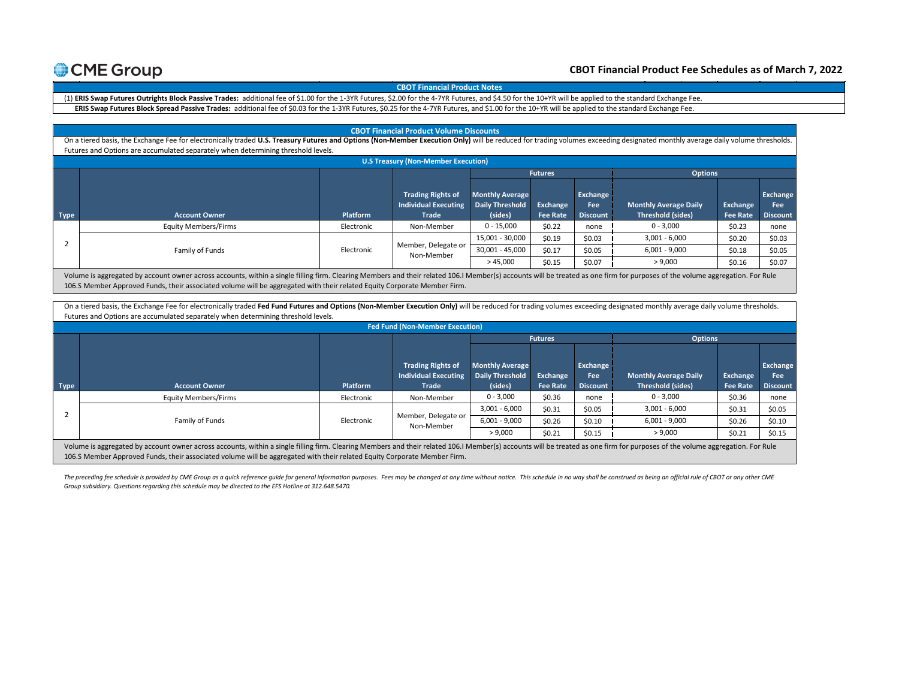#### **CBOT Financial Product Fee Schedules as of March 7, 2022**

**MAC Swap** 

**Micro** 

#### **Trading Rights of CBOT Financial Product Notes**

**Treasury Futures**

1-3YR Futures, \$2.00 for the 4-7YR Futures, and \$4.50 for the 10+YR will be applied to the standard Exchan ERIS Swap Futures Block Spread Passive Trades: additional fee of \$0.03 for the 1-3YR Futures, \$0.25 for the 4-7YR Futures, and \$1.00 for the 10+YR will be applied to the standard Exchange Fee. e Fee. (1) ERIS Swap Futures Outrights Block Passive Trades: additional fee of \$1.00 for the 1-3YR Futures, \$2.00 for the 4-7YR Futures, and \$4.50 for the 10+YR will be applied to the standard Exchange Fee.

|                                            | <b>CBOT Financial Product Volume Discounts</b>                                                                                                                                                                                |            |                                   |                        |                 |                 |                              |                 |                 |
|--------------------------------------------|-------------------------------------------------------------------------------------------------------------------------------------------------------------------------------------------------------------------------------|------------|-----------------------------------|------------------------|-----------------|-----------------|------------------------------|-----------------|-----------------|
|                                            | On a tiered basis, the Exchange Fee for electronically traded U.S. Treasury Futures and Options (Non-Member Execution Only) will be reduced for trading volumes exceeding designated monthly average daily volume thresholds. |            |                                   |                        |                 |                 |                              |                 |                 |
|                                            | Futures and Options are accumulated separately when determining threshold levels.                                                                                                                                             |            |                                   |                        |                 |                 |                              |                 |                 |
| <b>U.S Treasury (Non-Member Execution)</b> |                                                                                                                                                                                                                               |            |                                   |                        |                 |                 |                              |                 |                 |
|                                            |                                                                                                                                                                                                                               |            |                                   |                        | <b>Futures</b>  |                 | <b>Options</b>               |                 |                 |
|                                            |                                                                                                                                                                                                                               |            |                                   |                        |                 |                 |                              |                 |                 |
|                                            |                                                                                                                                                                                                                               |            | <b>Trading Rights of</b>          | <b>Monthly Average</b> |                 | Exchange        |                              |                 | Exchange        |
|                                            |                                                                                                                                                                                                                               |            | <b>Individual Executing</b>       | <b>Daily Threshold</b> | Exchange        | Fee             | <b>Monthly Average Daily</b> | Exchange        | <b>Fee</b>      |
| Type                                       | <b>Account Owner</b>                                                                                                                                                                                                          | Platform   | <b>Trade</b>                      | (sides)                | <b>Fee Rate</b> | <b>Discount</b> | <b>Threshold (sides)</b>     | <b>Fee Rate</b> | <b>Discount</b> |
|                                            | <b>Equity Members/Firms</b>                                                                                                                                                                                                   | Electronic | Non-Member                        | $0 - 15,000$           | \$0.22          | none            | $0 - 3,000$                  | \$0.23          | none            |
|                                            |                                                                                                                                                                                                                               |            | Member, Delegate or<br>Non-Member | 15,001 - 30,000        | \$0.19          | \$0.03          | $3,001 - 6,000$              | \$0.20          | \$0.03          |
|                                            | Family of Funds                                                                                                                                                                                                               | Electronic |                                   | 30,001 - 45,000        | \$0.17          | \$0.05          | $6,001 - 9,000$              | \$0.18          | \$0.05          |
|                                            |                                                                                                                                                                                                                               |            |                                   | >45,000                | \$0.15          | \$0.07          | > 9,000                      | \$0.16          | \$0.07          |
|                                            | Volume is aggregated by account owner across accounts, within a single filling firm. Clearing Members and their related 106.I Member(s) accounts will be treated as one firm for purposes of the volume aggregation. For Rule |            |                                   |                        |                 |                 |                              |                 |                 |
|                                            | 106.S Member Approved Funds, their associated volume will be aggregated with their related Equity Corporate Member Firm.                                                                                                      |            |                                   |                        |                 |                 |                              |                 |                 |

On a tiered basis, the Exchange Fee for electronically traded Fed Fund Futures and Options (Non-Member Execution Only) will be reduced for trading volumes exceeding designated monthly average daily volume thresholds. Futures and Options are accumulated separately when determining threshold levels.

|             | <b>Fed Fund (Non-Member Execution)</b>                                                                                                                                                                                        |            |                                                                         |                                                             |                             |                                           |                                                          |                             |                                    |  |
|-------------|-------------------------------------------------------------------------------------------------------------------------------------------------------------------------------------------------------------------------------|------------|-------------------------------------------------------------------------|-------------------------------------------------------------|-----------------------------|-------------------------------------------|----------------------------------------------------------|-----------------------------|------------------------------------|--|
|             |                                                                                                                                                                                                                               |            |                                                                         |                                                             | <b>Futures</b>              |                                           | <b>Options</b>                                           |                             |                                    |  |
| <b>Type</b> | <b>Account Owner</b>                                                                                                                                                                                                          | Platform   | <b>Trading Rights of</b><br><b>Individual Executing</b><br><b>Trade</b> | <b>Monthly Average</b><br><b>Daily Threshold</b><br>(sides) | Exchange<br><b>Fee Rate</b> | Exchange<br><b>Fee</b><br><b>Discount</b> | <b>Monthly Average Daily</b><br><b>Threshold (sides)</b> | Exchange<br><b>Fee Rate</b> | Exchange<br>Fee<br><b>Discount</b> |  |
|             | Equity Members/Firms                                                                                                                                                                                                          | Electronic | Non-Member                                                              | $0 - 3,000$                                                 | \$0.36                      | none                                      | $0 - 3,000$                                              | \$0.36                      | none                               |  |
|             | Family of Funds                                                                                                                                                                                                               | Electronic | Member, Delegate or<br>Non-Member                                       | $3,001 - 6,000$                                             | \$0.31                      | \$0.05                                    | $3,001 - 6,000$                                          | \$0.31                      | \$0.05                             |  |
|             |                                                                                                                                                                                                                               |            |                                                                         | $6,001 - 9,000$                                             | \$0.26                      | \$0.10                                    | $6,001 - 9,000$                                          | \$0.26                      | \$0.10                             |  |
|             |                                                                                                                                                                                                                               |            |                                                                         | > 9,000                                                     | \$0.21                      | \$0.15                                    | > 9,000                                                  | \$0.21                      | \$0.15                             |  |
|             | Volume is appregated by account owner across accounts, within a single filling firm, Clearing Members and their related 106   Member(s) accounts will be treated as one firm for purposes of the volume aggregation. For Rule |            |                                                                         |                                                             |                             |                                           |                                                          |                             |                                    |  |

Volume is aggregated by account owner across accounts, within a single filling firm. Clearing Members and their related 106.I Member(s) accounts will be treated as one firm for purposes of the volume aggregation. For Rule 106.S Member Approved Funds, their associated volume will be aggregated with their related Equity Corporate Member Firm.

The preceding fee schedule is provided by CME Group as a quick reference guide for general information purposes. Fees may be changed at any time without notice. This schedule in no way shall be construed as being an offici *Group subsidiary. Questions regarding this schedule may be directed to the EFS Hotline at 312.648.5470.*